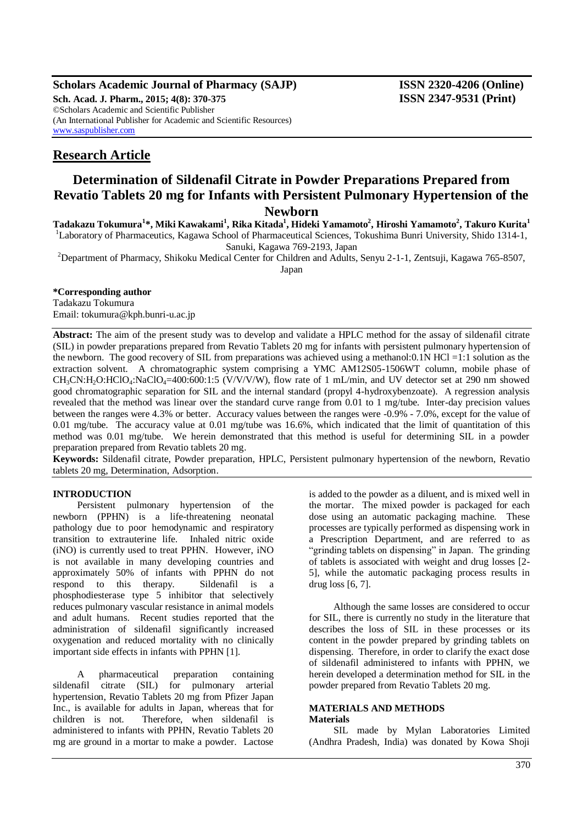**Scholars Academic Journal of Pharmacy (SAJP) ISSN 2320-4206 (Online) Sch. Acad. J. Pharm., 2015; 4(8): 370-375 ISSN 2347-9531 (Print)** ©Scholars Academic and Scientific Publisher (An International Publisher for Academic and Scientific Resources) [www.saspublisher.com](http://www.saspublisher.com/)

# **Research Article**

# **Determination of Sildenafil Citrate in Powder Preparations Prepared from Revatio Tablets 20 mg for Infants with Persistent Pulmonary Hypertension of the Newborn**

 $\bf{T}$ adakazu Tokumura $^{1*}$ , Miki Kawakami $^{1}$ , Rika Kitada $^{1}$ , Hideki Yamamoto $^{2}$ , Hiroshi Yamamoto $^{2}$ , Takuro Kurita $^{1}$ <sup>1</sup>Laboratory of Pharmaceutics, Kagawa School of Pharmaceutical Sciences, Tokushima Bunri University, Shido 1314-1, Sanuki, Kagawa 769-2193, Japan

<sup>2</sup>Department of Pharmacy, Shikoku Medical Center for Children and Adults, Senyu 2-1-1, Zentsuji, Kagawa 765-8507,

Japan

**\*Corresponding author** Tadakazu Tokumura Email: tokumura@kph.bunri-u.ac.jp

**Abstract:** The aim of the present study was to develop and validate a HPLC method for the assay of sildenafil citrate (SIL) in powder preparations prepared from Revatio Tablets 20 mg for infants with persistent pulmonary hypertension of the newborn. The good recovery of SIL from preparations was achieved using a methanol:  $0.1N$  HCl =1:1 solution as the extraction solvent. A chromatographic system comprising a YMC AM12S05-1506WT column, mobile phase of CH3CN:H2O:HClO4:NaClO4=400:600:1:5 (V/V/V/W), flow rate of 1 mL/min, and UV detector set at 290 nm showed good chromatographic separation for SIL and the internal standard (propyl 4-hydroxybenzoate). A regression analysis revealed that the method was linear over the standard curve range from 0.01 to 1 mg/tube. Inter-day precision values between the ranges were 4.3% or better. Accuracy values between the ranges were -0.9% - 7.0%, except for the value of 0.01 mg/tube. The accuracy value at 0.01 mg/tube was 16.6%, which indicated that the limit of quantitation of this method was 0.01 mg/tube. We herein demonstrated that this method is useful for determining SIL in a powder preparation prepared from Revatio tablets 20 mg.

**Keywords:** Sildenafil citrate, Powder preparation, HPLC, Persistent pulmonary hypertension of the newborn, Revatio tablets 20 mg, Determination, Adsorption.

# **INTRODUCTION**

Persistent pulmonary hypertension of the newborn (PPHN) is a life-threatening neonatal pathology due to poor hemodynamic and respiratory transition to extrauterine life. Inhaled nitric oxide (iNO) is currently used to treat PPHN. However, iNO is not available in many developing countries and approximately 50% of infants with PPHN do not respond to this therapy. Sildenafil is a phosphodiesterase type 5 inhibitor that selectively reduces pulmonary vascular resistance in animal models and adult humans. Recent studies reported that the administration of sildenafil significantly increased oxygenation and reduced mortality with no clinically important side effects in infants with PPHN [1].

A pharmaceutical preparation containing sildenafil citrate (SIL) for pulmonary arterial hypertension, Revatio Tablets 20 mg from Pfizer Japan Inc., is available for adults in Japan, whereas that for children is not. Therefore, when sildenafil is administered to infants with PPHN, Revatio Tablets 20 mg are ground in a mortar to make a powder. Lactose

is added to the powder as a diluent, and is mixed well in the mortar. The mixed powder is packaged for each dose using an automatic packaging machine. These processes are typically performed as dispensing work in a Prescription Department, and are referred to as "grinding tablets on dispensing" in Japan. The grinding of tablets is associated with weight and drug losses [2- 5], while the automatic packaging process results in drug loss [6, 7].

Although the same losses are considered to occur for SIL, there is currently no study in the literature that describes the loss of SIL in these processes or its content in the powder prepared by grinding tablets on dispensing. Therefore, in order to clarify the exact dose of sildenafil administered to infants with PPHN, we herein developed a determination method for SIL in the powder prepared from Revatio Tablets 20 mg.

#### **MATERIALS AND METHODS Materials**

SIL made by Mylan Laboratories Limited (Andhra Pradesh, India) was donated by Kowa Shoji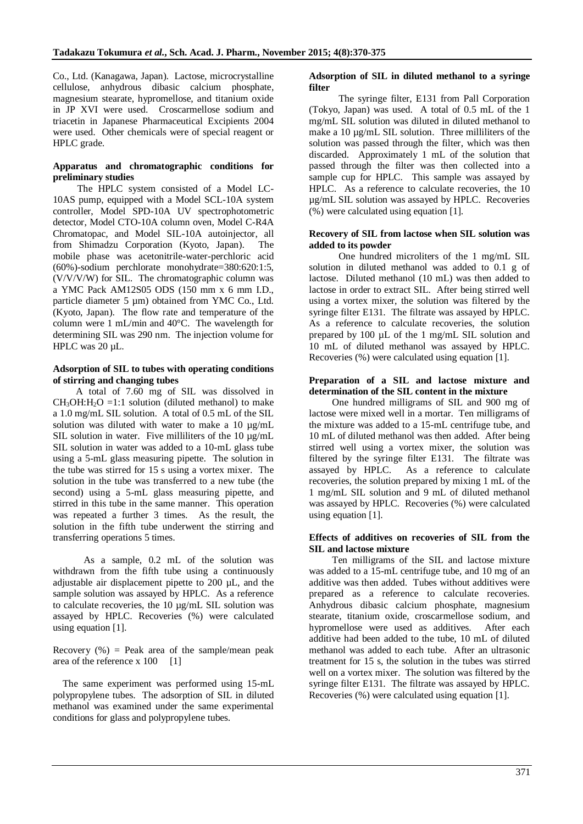Co., Ltd. (Kanagawa, Japan). Lactose, microcrystalline cellulose, anhydrous dibasic calcium phosphate, magnesium stearate, hypromellose, and titanium oxide in JP XVI were used. Croscarmellose sodium and triacetin in Japanese Pharmaceutical Excipients 2004 were used. Other chemicals were of special reagent or HPLC grade.

#### **Apparatus and chromatographic conditions for preliminary studies**

The HPLC system consisted of a Model LC-10AS pump, equipped with a Model SCL-10A system controller, Model SPD-10A UV spectrophotometric detector, Model CTO-10A column oven, Model C-R4A Chromatopac, and Model SIL-10A autoinjector, all from Shimadzu Corporation (Kyoto, Japan). The mobile phase was acetonitrile-water-perchloric acid (60%)-sodium perchlorate monohydrate=380:620:1:5, (V/V/V/W) for SIL. The chromatographic column was a YMC Pack AM12S05 ODS (150 mm x 6 mm I.D., particle diameter 5 µm) obtained from YMC Co., Ltd. (Kyoto, Japan). The flow rate and temperature of the column were 1 mL/min and 40°C. The wavelength for determining SIL was 290 nm. The injection volume for HPLC was 20 µL.

#### **Adsorption of SIL to tubes with operating conditions of stirring and changing tubes**

A total of 7.60 mg of SIL was dissolved in  $CH_3OH:H_2O = 1:1$  solution (diluted methanol) to make a 1.0 mg/mL SIL solution. A total of 0.5 mL of the SIL solution was diluted with water to make a 10  $\mu$ g/mL SIL solution in water. Five milliliters of the 10  $\mu$ g/mL SIL solution in water was added to a 10-mL glass tube using a 5-mL glass measuring pipette. The solution in the tube was stirred for 15 s using a vortex mixer. The solution in the tube was transferred to a new tube (the second) using a 5-mL glass measuring pipette, and stirred in this tube in the same manner. This operation was repeated a further 3 times. As the result, the solution in the fifth tube underwent the stirring and transferring operations 5 times.

As a sample, 0.2 mL of the solution was withdrawn from the fifth tube using a continuously adjustable air displacement pipette to 200 µL, and the sample solution was assayed by HPLC. As a reference to calculate recoveries, the 10 µg/mL SIL solution was assayed by HPLC. Recoveries (%) were calculated using equation [1].

Recovery  $(\%)$  = Peak area of the sample/mean peak area of the reference x 100 [1]

The same experiment was performed using 15-mL polypropylene tubes. The adsorption of SIL in diluted methanol was examined under the same experimental conditions for glass and polypropylene tubes.

#### **Adsorption of SIL in diluted methanol to a syringe filter**

The syringe filter, E131 from Pall Corporation (Tokyo, Japan) was used. A total of 0.5 mL of the 1 mg/mL SIL solution was diluted in diluted methanol to make a 10 µg/mL SIL solution. Three milliliters of the solution was passed through the filter, which was then discarded. Approximately 1 mL of the solution that passed through the filter was then collected into a sample cup for HPLC. This sample was assayed by HPLC. As a reference to calculate recoveries, the 10 µg/mL SIL solution was assayed by HPLC. Recoveries (%) were calculated using equation [1].

#### **Recovery of SIL from lactose when SIL solution was added to its powder**

One hundred microliters of the 1 mg/mL SIL solution in diluted methanol was added to 0.1 g of lactose. Diluted methanol (10 mL) was then added to lactose in order to extract SIL. After being stirred well using a vortex mixer, the solution was filtered by the syringe filter E131. The filtrate was assayed by HPLC. As a reference to calculate recoveries, the solution prepared by 100 µL of the 1 mg/mL SIL solution and 10 mL of diluted methanol was assayed by HPLC. Recoveries (%) were calculated using equation [1].

#### **Preparation of a SIL and lactose mixture and determination of the SIL content in the mixture**

One hundred milligrams of SIL and 900 mg of lactose were mixed well in a mortar. Ten milligrams of the mixture was added to a 15-mL centrifuge tube, and 10 mL of diluted methanol was then added. After being stirred well using a vortex mixer, the solution was filtered by the syringe filter E131. The filtrate was assayed by HPLC. As a reference to calculate recoveries, the solution prepared by mixing 1 mL of the 1 mg/mL SIL solution and 9 mL of diluted methanol was assayed by HPLC. Recoveries (%) were calculated using equation [1].

#### **Effects of additives on recoveries of SIL from the SIL and lactose mixture**

Ten milligrams of the SIL and lactose mixture was added to a 15-mL centrifuge tube, and 10 mg of an additive was then added. Tubes without additives were prepared as a reference to calculate recoveries. Anhydrous dibasic calcium phosphate, magnesium stearate, titanium oxide, croscarmellose sodium, and hypromellose were used as additives. After each additive had been added to the tube, 10 mL of diluted methanol was added to each tube. After an ultrasonic treatment for 15 s, the solution in the tubes was stirred well on a vortex mixer. The solution was filtered by the syringe filter E131. The filtrate was assayed by HPLC. Recoveries (%) were calculated using equation [1].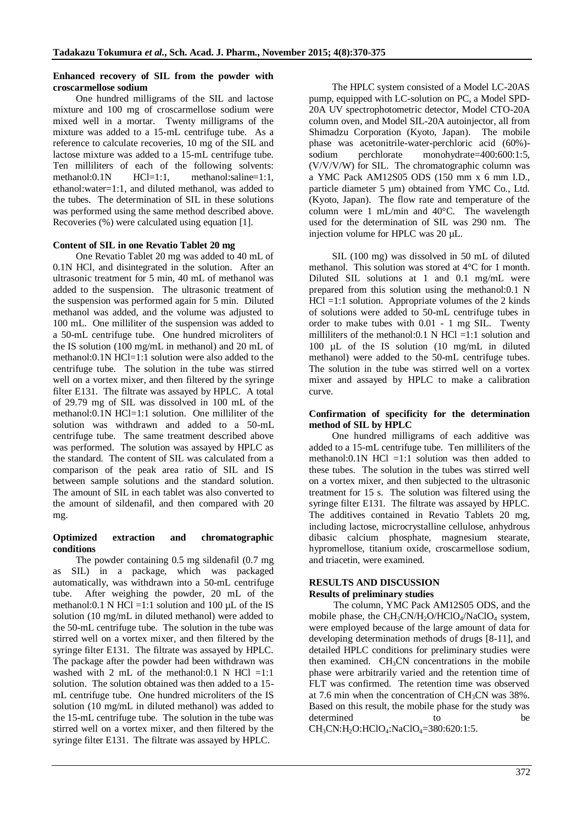### **Enhanced recovery of SIL from the powder with croscarmellose sodium**

One hundred milligrams of the SIL and lactose mixture and 100 mg of croscarmellose sodium were mixed well in a mortar. Twenty milligrams of the mixture was added to a 15-mL centrifuge tube. As a reference to calculate recoveries, 10 mg of the SIL and lactose mixture was added to a 15-mL centrifuge tube. Ten milliliters of each of the following solvents: methanol:0.1N HCl=1:1, methanol:saline=1:1, ethanol:water=1:1, and diluted methanol, was added to the tubes. The determination of SIL in these solutions was performed using the same method described above. Recoveries (%) were calculated using equation [1].

### **Content of SIL in one Revatio Tablet 20 mg**

One Revatio Tablet 20 mg was added to 40 mL of 0.1N HCl, and disintegrated in the solution. After an ultrasonic treatment for 5 min, 40 mL of methanol was added to the suspension. The ultrasonic treatment of the suspension was performed again for 5 min. Diluted methanol was added, and the volume was adjusted to 100 mL. One milliliter of the suspension was added to a 50-mL centrifuge tube. One hundred microliters of the IS solution (100 mg/mL in methanol) and 20 mL of methanol:0.1N HCl=1:1 solution were also added to the centrifuge tube. The solution in the tube was stirred well on a vortex mixer, and then filtered by the syringe filter E131. The filtrate was assayed by HPLC. A total of 29.79 mg of SIL was dissolved in 100 mL of the methanol: 0.1N HCl=1:1 solution. One milliliter of the solution was withdrawn and added to a 50-mL centrifuge tube. The same treatment described above was performed. The solution was assayed by HPLC as the standard. The content of SIL was calculated from a comparison of the peak area ratio of SIL and IS between sample solutions and the standard solution. The amount of SIL in each tablet was also converted to the amount of sildenafil, and then compared with 20 mg.

### **Optimized extraction and chromatographic conditions**

The powder containing 0.5 mg sildenafil (0.7 mg as SIL) in a package, which was packaged automatically, was withdrawn into a 50-mL centrifuge tube. After weighing the powder, 20 mL of the methanol:0.1 N HCl =1:1 solution and 100  $\mu$ L of the IS solution (10 mg/mL in diluted methanol) were added to the 50-mL centrifuge tube. The solution in the tube was stirred well on a vortex mixer, and then filtered by the syringe filter E131. The filtrate was assayed by HPLC. The package after the powder had been withdrawn was washed with 2 mL of the methanol:  $0.1$  N HCl =1:1 solution. The solution obtained was then added to a 15 mL centrifuge tube. One hundred microliters of the IS solution (10 mg/mL in diluted methanol) was added to the 15-mL centrifuge tube. The solution in the tube was stirred well on a vortex mixer, and then filtered by the syringe filter E131. The filtrate was assayed by HPLC.

The HPLC system consisted of a Model LC-20AS pump, equipped with LC-solution on PC, a Model SPD-20A UV spectrophotometric detector, Model CTO-20A column oven, and Model SIL-20A autoinjector, all from Shimadzu Corporation (Kyoto, Japan). The mobile phase was acetonitrile-water-perchloric acid (60%) sodium perchlorate monohydrate=400:600:1:5, (V/V/V/W) for SIL. The chromatographic column was a YMC Pack AM12S05 ODS (150 mm x 6 mm I.D., particle diameter 5 µm) obtained from YMC Co., Ltd. (Kyoto, Japan). The flow rate and temperature of the column were 1 mL/min and 40°C. The wavelength used for the determination of SIL was 290 nm. The injection volume for HPLC was 20 µL.

SIL (100 mg) was dissolved in 50 mL of diluted methanol. This solution was stored at 4°C for 1 month. Diluted SIL solutions at 1 and 0.1 mg/mL were prepared from this solution using the methanol:0.1 N  $HCl = 1:1$  solution. Appropriate volumes of the 2 kinds of solutions were added to 50-mL centrifuge tubes in order to make tubes with 0.01 - 1 mg SIL. Twenty milliliters of the methanol:  $0.1$  N HCl =1:1 solution and 100 µL of the IS solution (10 mg/mL in diluted methanol) were added to the 50-mL centrifuge tubes. The solution in the tube was stirred well on a vortex mixer and assayed by HPLC to make a calibration curve.

### **Confirmation of specificity for the determination method of SIL by HPLC**

One hundred milligrams of each additive was added to a 15-mL centrifuge tube. Ten milliliters of the methanol:0.1N HCl  $=1:1$  solution was then added to these tubes. The solution in the tubes was stirred well on a vortex mixer, and then subjected to the ultrasonic treatment for 15 s. The solution was filtered using the syringe filter E131. The filtrate was assayed by HPLC. The additives contained in Revatio Tablets 20 mg, including lactose, microcrystalline cellulose, anhydrous dibasic calcium phosphate, magnesium stearate, hypromellose, titanium oxide, croscarmellose sodium, and triacetin, were examined.

#### **RESULTS AND DISCUSSION Results of preliminary studies**

The column, YMC Pack AM12S05 ODS, and the mobile phase, the  $CH_3CN/H_2O/HClO_4/NaClO_4$  system, were employed because of the large amount of data for developing determination methods of drugs [8-11], and detailed HPLC conditions for preliminary studies were then examined.  $CH<sub>3</sub>CN$  concentrations in the mobile phase were arbitrarily varied and the retention time of FLT was confirmed. The retention time was observed at 7.6 min when the concentration of  $CH<sub>3</sub>CN$  was 38%. Based on this result, the mobile phase for the study was determined to be

CH<sub>3</sub>CN:H<sub>2</sub>O:HClO<sub>4</sub>:NaClO<sub>4</sub>=380:620:1:5.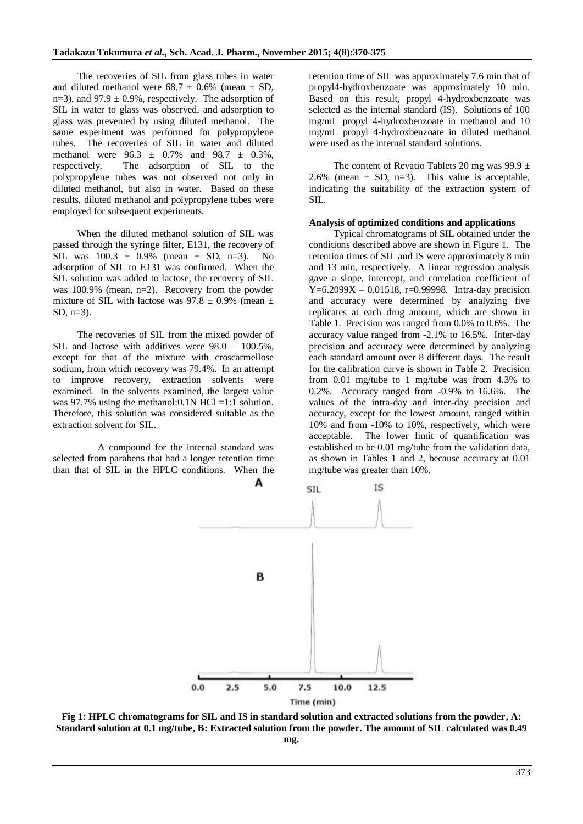The recoveries of SIL from glass tubes in water and diluted methanol were  $68.7 \pm 0.6\%$  (mean  $\pm$  SD, n=3), and  $97.9 \pm 0.9\%$ , respectively. The adsorption of SIL in water to glass was observed, and adsorption to glass was prevented by using diluted methanol. The same experiment was performed for polypropylene tubes. The recoveries of SIL in water and diluted methanol were  $96.3 \pm 0.7\%$  and  $98.7 \pm 0.3\%$ , respectively. The adsorption of SIL to the polypropylene tubes was not observed not only in diluted methanol, but also in water. Based on these results, diluted methanol and polypropylene tubes were employed for subsequent experiments.

When the diluted methanol solution of SIL was passed through the syringe filter, E131, the recovery of SIL was 100.3 ± 0.9% (mean ± SD, n=3). No adsorption of SIL to E131 was confirmed. When the SIL solution was added to lactose, the recovery of SIL was 100.9% (mean, n=2). Recovery from the powder mixture of SIL with lactose was  $97.8 \pm 0.9\%$  (mean  $\pm$ SD, n=3).

The recoveries of SIL from the mixed powder of SIL and lactose with additives were 98.0 – 100.5%, except for that of the mixture with croscarmellose sodium, from which recovery was 79.4%. In an attempt to improve recovery, extraction solvents were examined. In the solvents examined, the largest value was 97.7% using the methanol:0.1N HCl =1:1 solution. Therefore, this solution was considered suitable as the extraction solvent for SIL.

A compound for the internal standard was selected from parabens that had a longer retention time than that of SIL in the HPLC conditions. When the retention time of SIL was approximately 7.6 min that of propyl4-hydroxbenzoate was approximately 10 min. Based on this result, propyl 4-hydroxbenzoate was selected as the internal standard (IS). Solutions of 100 mg/mL propyl 4-hydroxbenzoate in methanol and 10 mg/mL propyl 4-hydroxbenzoate in diluted methanol were used as the internal standard solutions.

The content of Revatio Tablets 20 mg was 99.9  $\pm$ 2.6% (mean  $\pm$  SD, n=3). This value is acceptable, indicating the suitability of the extraction system of SIL.

#### **Analysis of optimized conditions and applications**

Typical chromatograms of SIL obtained under the conditions described above are shown in Figure 1. The retention times of SIL and IS were approximately 8 min and 13 min, respectively. A linear regression analysis gave a slope, intercept, and correlation coefficient of  $Y=6.2099X - 0.01518$ , r=0.99998. Intra-day precision and accuracy were determined by analyzing five replicates at each drug amount, which are shown in Table 1. Precision was ranged from 0.0% to 0.6%. The accuracy value ranged from -2.1% to 16.5%. Inter-day precision and accuracy were determined by analyzing each standard amount over 8 different days. The result for the calibration curve is shown in Table 2. Precision from 0.01 mg/tube to 1 mg/tube was from 4.3% to 0.2%. Accuracy ranged from -0.9% to 16.6%. The values of the intra-day and inter-day precision and accuracy, except for the lowest amount, ranged within 10% and from -10% to 10%, respectively, which were acceptable. The lower limit of quantification was established to be 0.01 mg/tube from the validation data, as shown in Tables 1 and 2, because accuracy at 0.01 mg/tube was greater than 10%.



**Fig 1: HPLC chromatograms for SIL and IS in standard solution and extracted solutions from the powder, A: Standard solution at 0.1 mg/tube, B: Extracted solution from the powder. The amount of SIL calculated was 0.49 mg.**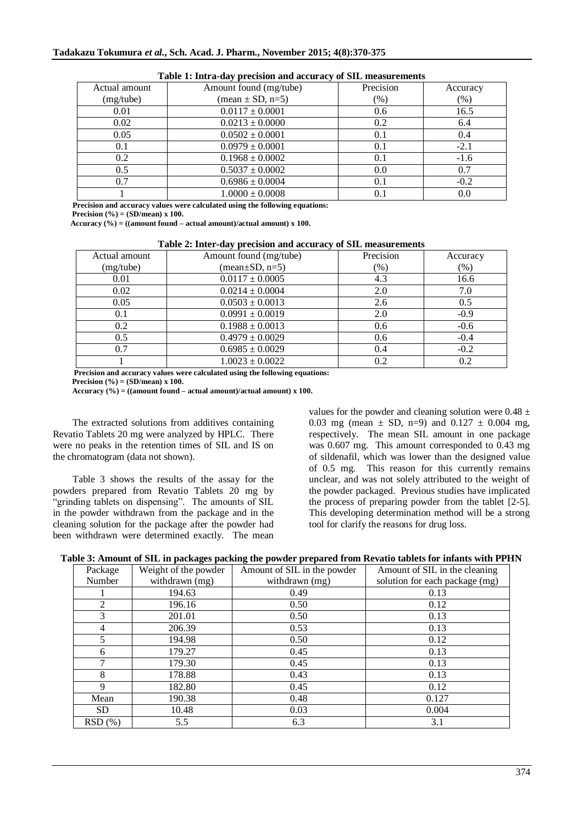| Actual amount | Amount found (mg/tube)                    | Precision | Accuracy |
|---------------|-------------------------------------------|-----------|----------|
| (mg/tube)     | $(\text{mean} \pm \text{SD}, \text{n=5})$ | (%)       | $(\%)$   |
| 0.01          | $0.0117 \pm 0.0001$                       | 0.6       | 16.5     |
| 0.02          | $0.0213 \pm 0.0000$                       | 0.2       | 6.4      |
| 0.05          | $0.0502 \pm 0.0001$                       | 0.1       | 0.4      |
| 0.1           | $0.0979 \pm 0.0001$                       | 0.1       | $-2.1$   |
| 0.2           | $0.1968 \pm 0.0002$                       | 0.1       | $-1.6$   |
| 0.5           | $0.5037 \pm 0.0002$                       | 0.0       | 0.7      |
| 0.7           | $0.6986 \pm 0.0004$                       | 0.1       | $-0.2$   |
|               | $1.0000 \pm 0.0008$                       | $0.1\,$   | 0.0      |

| Table 1: Intra-day precision and accuracy of SIL measurements |  |  |
|---------------------------------------------------------------|--|--|
|---------------------------------------------------------------|--|--|

**Precision and accuracy values were calculated using the following equations:**

 **Precision (%) = (SD/mean) x 100.**

 **Accuracy (%) = ((amount found – actual amount)/actual amount) x 100.**

|  |  |  |  |  | Table 2: Inter-day precision and accuracy of SIL measurements |
|--|--|--|--|--|---------------------------------------------------------------|
|  |  |  |  |  |                                                               |

| Actual amount | Amount found (mg/tube)                  | Precision | Accuracy |
|---------------|-----------------------------------------|-----------|----------|
| (mg/tube)     | $(\text{mean}\pm\text{SD}, \text{n=5})$ | (%)       | $(\%)$   |
| 0.01          | $0.0117 \pm 0.0005$                     | 4.3       | 16.6     |
| 0.02          | $0.0214 \pm 0.0004$                     | 2.0       | 7.0      |
| 0.05          | $0.0503 \pm 0.0013$                     | 2.6       | 0.5      |
| 0.1           | $0.0991 \pm 0.0019$                     | 2.0       | $-0.9$   |
| 0.2           | $0.1988 \pm 0.0013$                     | 0.6       | $-0.6$   |
| 0.5           | $0.4979 \pm 0.0029$                     | 0.6       | $-0.4$   |
| 0.7           | $0.6985 \pm 0.0029$                     | 0.4       | $-0.2$   |
|               | $1.0023 \pm 0.0022$                     | 0.2       | 0.2      |

**Precision and accuracy values were calculated using the following equations:**

 **Precision (%) = (SD/mean) x 100.**

 **Accuracy (%) = ((amount found – actual amount)/actual amount) x 100.**

The extracted solutions from additives containing Revatio Tablets 20 mg were analyzed by HPLC. There were no peaks in the retention times of SIL and IS on the chromatogram (data not shown).

Table 3 shows the results of the assay for the powders prepared from Revatio Tablets 20 mg by "grinding tablets on dispensing". The amounts of SIL in the powder withdrawn from the package and in the cleaning solution for the package after the powder had been withdrawn were determined exactly. The mean

values for the powder and cleaning solution were  $0.48 \pm$ 0.03 mg (mean  $\pm$  SD, n=9) and 0.127  $\pm$  0.004 mg, respectively. The mean SIL amount in one package was 0.607 mg. This amount corresponded to 0.43 mg of sildenafil, which was lower than the designed value of 0.5 mg. This reason for this currently remains unclear, and was not solely attributed to the weight of the powder packaged. Previous studies have implicated the process of preparing powder from the tablet [2-5]. This developing determination method will be a strong tool for clarify the reasons for drug loss.

|  |  | Table 3: Amount of SIL in packages packing the powder prepared from Revatio tablets for infants with PPHN |
|--|--|-----------------------------------------------------------------------------------------------------------|
|  |  |                                                                                                           |

| Package | Weight of the powder | $\mathbf{\Xi}$<br>Amount of SIL in the powder | Amount of SIL in the cleaning  |
|---------|----------------------|-----------------------------------------------|--------------------------------|
| Number  | withdrawn (mg)       | withdrawn (mg)                                | solution for each package (mg) |
|         | 194.63               | 0.49                                          | 0.13                           |
| 2       | 196.16               | 0.50                                          | 0.12                           |
| 3       | 201.01               | 0.50                                          | 0.13                           |
| 4       | 206.39               | 0.53                                          | 0.13                           |
| 5       | 194.98               | 0.50                                          | 0.12                           |
| 6       | 179.27               | 0.45                                          | 0.13                           |
| 7       | 179.30               | 0.45                                          | 0.13                           |
| 8       | 178.88               | 0.43                                          | 0.13                           |
| 9       | 182.80               | 0.45                                          | 0.12                           |
| Mean    | 190.38               | 0.48                                          | 0.127                          |
| SD.     | 10.48                | 0.03                                          | 0.004                          |
| RSD(%)  | 5.5                  | 6.3                                           | 3.1                            |